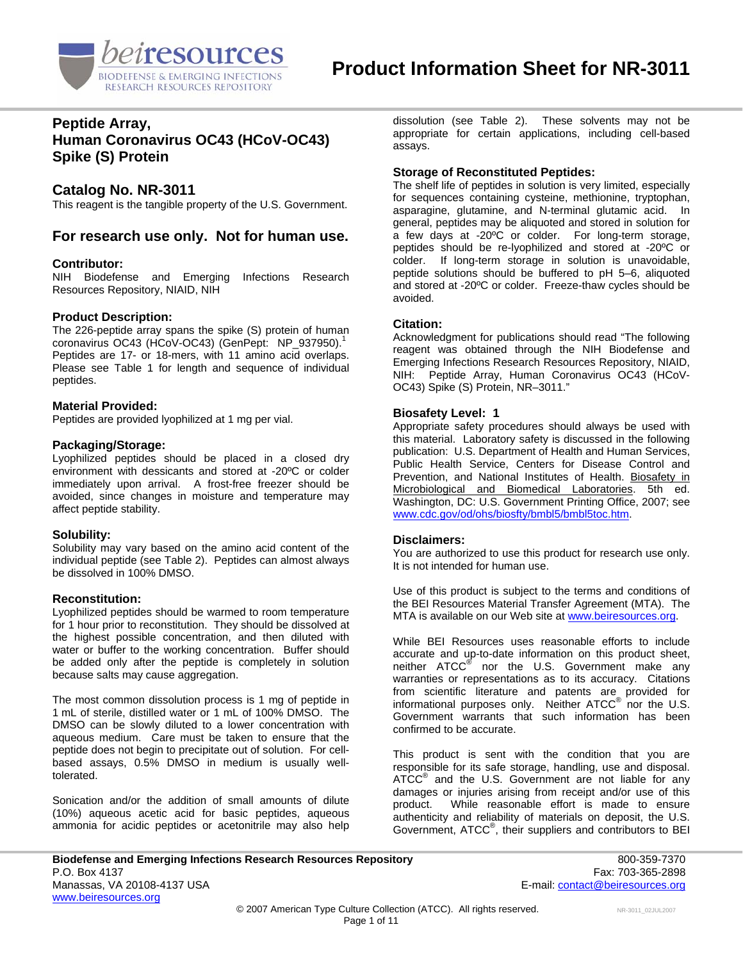

### **Peptide Array, Human Coronavirus OC43 (HCoV-OC43) Spike (S) Protein**

### **Catalog No. NR-3011**

This reagent is the tangible property of the U.S. Government.

### **For research use only. Not for human use.**

#### **Contributor:**

NIH Biodefense and Emerging Infections Research Resources Repository, NIAID, NIH

#### **Product Description:**

The 226-peptide array spans the spike (S) protein of human coronavirus OC43 (HCoV-OC43) (GenPept: NP\_937950).<sup>1</sup> Peptides are 17- or 18-mers, with 11 amino acid overlaps. Please see Table 1 for length and sequence of individual peptides.

#### **Material Provided:**

Peptides are provided lyophilized at 1 mg per vial.

#### **Packaging/Storage:**

Lyophilized peptides should be placed in a closed dry environment with dessicants and stored at -20ºC or colder immediately upon arrival. A frost-free freezer should be avoided, since changes in moisture and temperature may affect peptide stability.

#### **Solubility:**

Solubility may vary based on the amino acid content of the individual peptide (see Table 2). Peptides can almost always be dissolved in 100% DMSO.

#### **Reconstitution:**

Lyophilized peptides should be warmed to room temperature for 1 hour prior to reconstitution. They should be dissolved at the highest possible concentration, and then diluted with water or buffer to the working concentration. Buffer should be added only after the peptide is completely in solution because salts may cause aggregation.

The most common dissolution process is 1 mg of peptide in 1 mL of sterile, distilled water or 1 mL of 100% DMSO. The DMSO can be slowly diluted to a lower concentration with aqueous medium. Care must be taken to ensure that the peptide does not begin to precipitate out of solution. For cellbased assays, 0.5% DMSO in medium is usually welltolerated.

Sonication and/or the addition of small amounts of dilute (10%) aqueous acetic acid for basic peptides, aqueous ammonia for acidic peptides or acetonitrile may also help dissolution (see Table 2). These solvents may not be appropriate for certain applications, including cell-based assays.

#### **Storage of Reconstituted Peptides:**

The shelf life of peptides in solution is very limited, especially for sequences containing cysteine, methionine, tryptophan, asparagine, glutamine, and N-terminal glutamic acid. In general, peptides may be aliquoted and stored in solution for a few days at -20ºC or colder. For long-term storage, peptides should be re-lyophilized and stored at -20ºC or colder. If long-term storage in solution is unavoidable, peptide solutions should be buffered to pH 5–6, aliquoted and stored at -20ºC or colder. Freeze-thaw cycles should be avoided.

### **Citation:**

Acknowledgment for publications should read "The following reagent was obtained through the NIH Biodefense and Emerging Infections Research Resources Repository, NIAID, NIH: Peptide Array, Human Coronavirus OC43 (HCoV-OC43) Spike (S) Protein, NR–3011."

#### **Biosafety Level: 1**

Appropriate safety procedures should always be used with this material. Laboratory safety is discussed in the following publication: U.S. Department of Health and Human Services, Public Health Service, Centers for Disease Control and Prevention, and National Institutes of Health. Biosafety in Microbiological and Biomedical Laboratories. 5th ed. Washington, DC: U.S. Government Printing Office, 2007; see [www.cdc.gov/od/ohs/biosfty/bmbl5/bmbl5toc.htm.](http://www.cdc.gov/od/ohs/biosfty/bmbl5/bmbl5toc.htm)

#### **Disclaimers:**

You are authorized to use this product for research use only. It is not intended for human use.

Use of this product is subject to the terms and conditions of the BEI Resources Material Transfer Agreement (MTA). The MTA is available on our Web site at [www.beiresources.org](http://www.beiresources.org/).

While BEI Resources uses reasonable efforts to include accurate and up-to-date information on this product sheet, neither ATCC<sup>®</sup> nor the U.S. Government make any warranties or representations as to its accuracy. Citations from scientific literature and patents are provided for informational purposes only. Neither  $\tt{ATCC}^{\circledR}$  nor the U.S. Government warrants that such information has been confirmed to be accurate.

This product is sent with the condition that you are responsible for its safe storage, handling, use and disposal. ATCC<sup>®</sup> and the U.S. Government are not liable for any damages or injuries arising from receipt and/or use of this product. While reasonable effort is made to ensure authenticity and reliability of materials on deposit, the U.S. Government, ATCC<sup>®</sup>, their suppliers and contributors to BEI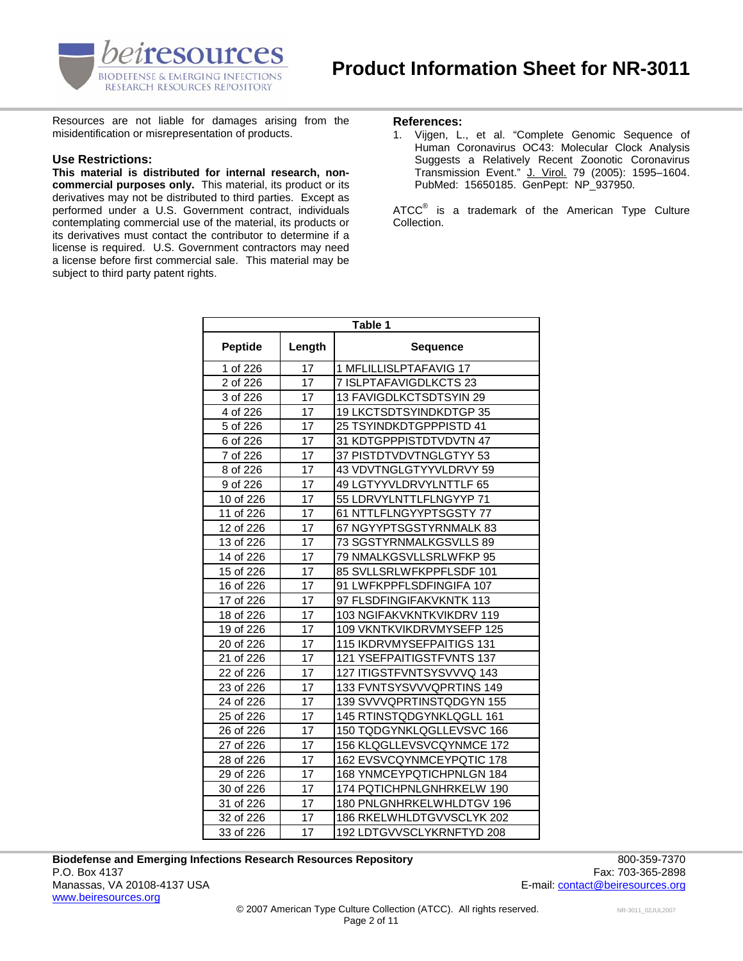

Resources are not liable for damages arising from the **References:**<br>misidentification or misrepresentation of products. 1. Vijgen, L.

#### **Use Restrictions:**

**This material is distributed for internal research, noncommercial purposes only.** This material, its product or its derivatives may not be distributed to third parties. Except as performed under a U.S. Government contract, individuals contemplating commercial use of the material, its products or its derivatives must contact the contributor to determine if a license is required. U.S. Government contractors may need a license before first commercial sale. This material may be subject to third party patent rights.

1. Vijgen, L., et al. "Complete Genomic Sequence of Human Coronavirus OC43: Molecular Clock Analysis Suggests a Relatively Recent Zoonotic Coronavirus Transmission Event." J. Virol. 79 (2005): 1595–1604. PubMed: 15650185. GenPept: NP\_937950.

ATCC $^{\circ}$  is a trademark of the American Type Culture Collection.

| Table 1        |        |                           |  |
|----------------|--------|---------------------------|--|
| <b>Peptide</b> | Length | <b>Sequence</b>           |  |
| 1 of 226       | 17     | 1 MFLILLISLPTAFAVIG 17    |  |
| 2 of 226       | 17     | 7 ISLPTAFAVIGDLKCTS 23    |  |
| 3 of 226       | 17     | 13 FAVIGDLKCTSDTSYIN 29   |  |
| 4 of 226       | 17     | 19 LKCTSDTSYINDKDTGP 35   |  |
| 5 of 226       | 17     | 25 TSYINDKDTGPPPISTD 41   |  |
| 6 of 226       | 17     | 31 KDTGPPPISTDTVDVTN 47   |  |
| 7 of 226       | 17     | 37 PISTDTVDVTNGLGTYY 53   |  |
| 8 of 226       | 17     | 43 VDVTNGLGTYYVLDRVY 59   |  |
| 9 of 226       | 17     | 49 LGTYYVLDRVYLNTTLF 65   |  |
| 10 of 226      | 17     | 55 LDRVYLNTTLFLNGYYP 71   |  |
| 11 of 226      | 17     | 61 NTTLFLNGYYPTSGSTY 77   |  |
| 12 of 226      | 17     | 67 NGYYPTSGSTYRNMALK 83   |  |
| 13 of 226      | 17     | 73 SGSTYRNMALKGSVLLS 89   |  |
| 14 of 226      | 17     | 79 NMALKGSVLLSRLWFKP 95   |  |
| 15 of 226      | 17     | 85 SVLLSRLWFKPPFLSDF 101  |  |
| 16 of 226      | 17     | 91 LWFKPPFLSDFINGIFA 107  |  |
| 17 of 226      | 17     | 97 FLSDFINGIFAKVKNTK 113  |  |
| 18 of 226      | 17     | 103 NGIFAKVKNTKVIKDRV 119 |  |
| 19 of 226      | 17     | 109 VKNTKVIKDRVMYSEFP 125 |  |
| 20 of 226      | 17     | 115 IKDRVMYSEFPAITIGS 131 |  |
| 21 of 226      | 17     | 121 YSEFPAITIGSTFVNTS 137 |  |
| 22 of 226      | 17     | 127 ITIGSTFVNTSYSVVVQ 143 |  |
| 23 of 226      | 17     | 133 FVNTSYSVVVQPRTINS 149 |  |
| 24 of 226      | 17     | 139 SVVVQPRTINSTQDGYN 155 |  |
| 25 of 226      | 17     | 145 RTINSTQDGYNKLQGLL 161 |  |
| 26 of 226      | 17     | 150 TQDGYNKLQGLLEVSVC 166 |  |
| 27 of 226      | 17     | 156 KLQGLLEVSVCQYNMCE 172 |  |
| 28 of 226      | 17     | 162 EVSVCQYNMCEYPQTIC 178 |  |
| 29 of 226      | 17     | 168 YNMCEYPQTICHPNLGN 184 |  |
| 30 of 226      | 17     | 174 PQTICHPNLGNHRKELW 190 |  |
| 31 of 226      | 17     | 180 PNLGNHRKELWHLDTGV 196 |  |
| 32 of 226      | 17     | 186 RKELWHLDTGVVSCLYK 202 |  |
| 33 of 226      | 17     | 192 LDTGVVSCLYKRNFTYD 208 |  |

**Biodefense and Emerging Infections Research Resources Repository** 800-359-7370 P.O. Box 4137 Fax: 703-365-2898 Manassas, VA 20108-4137 USA E-mail: contact@beiresources.org www.beiresources.org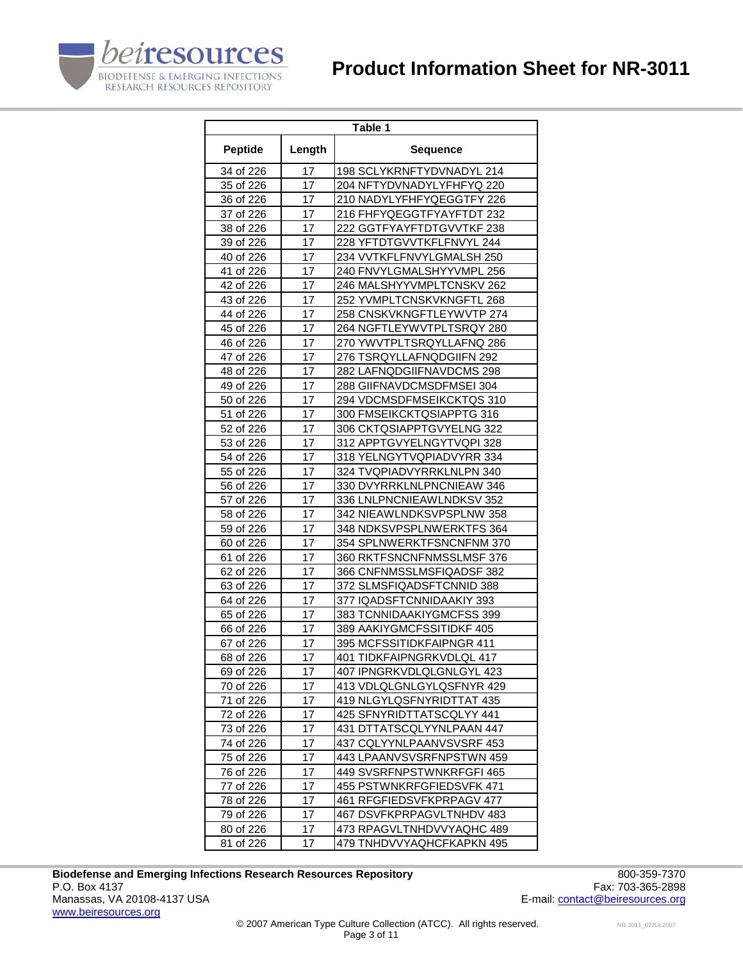

| Table 1        |        |                           |
|----------------|--------|---------------------------|
| <b>Peptide</b> | Length | Sequence                  |
| 34 of 226      | 17     | 198 SCLYKRNFTYDVNADYL 214 |
| 35 of 226      | 17     | 204 NFTYDVNADYLYFHFYQ 220 |
| 36 of 226      | 17     | 210 NADYLYFHFYQEGGTFY 226 |
| 37 of 226      | 17     | 216 FHFYQEGGTFYAYFTDT 232 |
| 38 of 226      | 17     | 222 GGTFYAYFTDTGVVTKF 238 |
| 39 of 226      | 17     | 228 YFTDTGVVTKFLFNVYL 244 |
| 40 of 226      | 17     | 234 VVTKFLFNVYLGMALSH 250 |
| 41 of 226      | 17     | 240 FNVYLGMALSHYYVMPL 256 |
| 42 of 226      | 17     | 246 MALSHYYVMPLTCNSKV 262 |
| 43 of 226      | 17     | 252 YVMPLTCNSKVKNGFTL 268 |
| 44 of 226      | 17     | 258 CNSKVKNGFTLEYWVTP 274 |
| 45 of 226      | 17     | 264 NGFTLEYWVTPLTSRQY 280 |
| 46 of 226      | 17     | 270 YWVTPLTSRQYLLAFNQ 286 |
| 47 of 226      | 17     | 276 TSRQYLLAFNQDGIIFN 292 |
| 48 of 226      | 17     | 282 LAFNQDGIIFNAVDCMS 298 |
| 49 of 226      | 17     | 288 GIIFNAVDCMSDFMSEI 304 |
| 50 of 226      | 17     | 294 VDCMSDFMSEIKCKTQS 310 |
| 51 of 226      | 17     | 300 FMSEIKCKTQSIAPPTG 316 |
| 52 of 226      | 17     | 306 CKTQSIAPPTGVYELNG 322 |
| 53 of 226      | 17     | 312 APPTGVYELNGYTVQPI 328 |
| 54 of 226      | 17     | 318 YELNGYTVQPIADVYRR 334 |
| 55 of 226      | 17     | 324 TVQPIADVYRRKLNLPN 340 |
| 56 of 226      | 17     | 330 DVYRRKLNLPNCNIEAW 346 |
| 57 of 226      | 17     | 336 LNLPNCNIEAWLNDKSV 352 |
| 58 of 226      | 17     | 342 NIEAWLNDKSVPSPLNW 358 |
| 59 of 226      | 17     | 348 NDKSVPSPLNWERKTFS 364 |
| 60 of 226      | 17     | 354 SPLNWERKTFSNCNFNM 370 |
| 61 of 226      | 17     | 360 RKTFSNCNFNMSSLMSF 376 |
| 62 of 226      | 17     | 366 CNFNMSSLMSFIQADSF 382 |
| 63 of 226      | 17     | 372 SLMSFIQADSFTCNNID 388 |
| 64 of 226      | 17     | 377 IQADSFTCNNIDAAKIY 393 |
| 65 of 226      | 17     | 383 TCNNIDAAKIYGMCFSS 399 |
| 66 of 226      | 17     | 389 AAKIYGMCFSSITIDKF 405 |
| 67 of 226      | 17     | 395 MCFSSITIDKFAIPNGR 411 |
| 68 of 226      | 17     | 401 TIDKFAIPNGRKVDLQL 417 |
| 69 of 226      | 17     | 407 IPNGRKVDLQLGNLGYL 423 |
| 70 of 226      | 17     | 413 VDLQLGNLGYLQSFNYR 429 |
| 71 of 226      | 17     | 419 NLGYLQSFNYRIDTTAT 435 |
| 72 of 226      | 17     | 425 SFNYRIDTTATSCQLYY 441 |
| 73 of 226      | 17     | 431 DTTATSCQLYYNLPAAN 447 |
| 74 of 226      | 17     | 437 CQLYYNLPAANVSVSRF 453 |
| 75 of 226      | 17     | 443 LPAANVSVSRFNPSTWN 459 |
| 76 of 226      | 17     | 449 SVSRFNPSTWNKRFGFI 465 |
| 77 of 226      | 17     | 455 PSTWNKRFGFIEDSVFK 471 |
| 78 of 226      | 17     | 461 RFGFIEDSVFKPRPAGV 477 |
| 79 of 226      | 17     | 467 DSVFKPRPAGVLTNHDV 483 |
| 80 of 226      | 17     | 473 RPAGVLTNHDVVYAQHC 489 |
| 81 of 226      | 17     | 479 TNHDVVYAQHCFKAPKN 495 |

Biodefense and Emerging Infections Research Resources Repository<br>P.O. Box 4137 Fax: 703-365-2898 P.O. Box 4137 Fax: 703-365-2898<br>Manassas, VA 20108-4137 USA Taxis and the set of the set of the set of the set of the set of the set of the set of the set of the set of the set of the set of the set of the set of the set o www.beiresources.org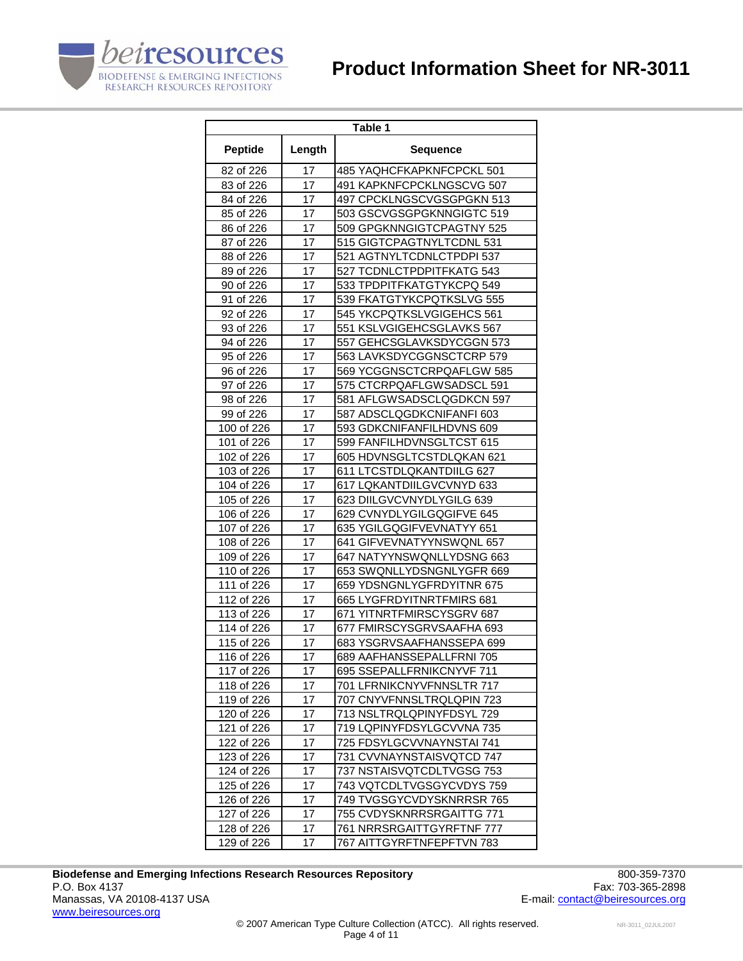

| Table 1        |        |                           |
|----------------|--------|---------------------------|
| <b>Peptide</b> | Length | <b>Sequence</b>           |
| 82 of 226      | 17     | 485 YAQHCFKAPKNFCPCKL 501 |
| 83 of 226      | 17     | 491 KAPKNFCPCKLNGSCVG 507 |
| 84 of 226      | 17     | 497 CPCKLNGSCVGSGPGKN 513 |
| 85 of 226      | 17     | 503 GSCVGSGPGKNNGIGTC 519 |
| 86 of 226      | 17     | 509 GPGKNNGIGTCPAGTNY 525 |
| 87 of 226      | 17     | 515 GIGTCPAGTNYLTCDNL 531 |
| 88 of 226      | 17     | 521 AGTNYLTCDNLCTPDPI 537 |
| 89 of 226      | 17     | 527 TCDNLCTPDPITFKATG 543 |
| 90 of 226      | 17     | 533 TPDPITFKATGTYKCPQ 549 |
| 91 of 226      | 17     | 539 FKATGTYKCPQTKSLVG 555 |
| 92 of 226      | 17     | 545 YKCPQTKSLVGIGEHCS 561 |
| 93 of 226      | 17     | 551 KSLVGIGEHCSGLAVKS 567 |
| 94 of 226      | 17     | 557 GEHCSGLAVKSDYCGGN 573 |
| 95 of 226      | 17     | 563 LAVKSDYCGGNSCTCRP 579 |
| 96 of 226      | 17     | 569 YCGGNSCTCRPQAFLGW 585 |
| 97 of 226      | 17     | 575 CTCRPQAFLGWSADSCL 591 |
| 98 of 226      | 17     | 581 AFLGWSADSCLQGDKCN 597 |
| 99 of 226      | 17     | 587 ADSCLQGDKCNIFANFI 603 |
| 100 of 226     | 17     | 593 GDKCNIFANFILHDVNS 609 |
| 101 of 226     | 17     | 599 FANFILHDVNSGLTCST 615 |
| 102 of 226     | 17     | 605 HDVNSGLTCSTDLQKAN 621 |
| 103 of 226     | 17     | 611 LTCSTDLQKANTDIILG 627 |
| 104 of 226     | 17     | 617 LQKANTDIILGVCVNYD 633 |
| 105 of 226     | 17     | 623 DIILGVCVNYDLYGILG 639 |
| 106 of 226     | 17     | 629 CVNYDLYGILGQGIFVE 645 |
| 107 of 226     | 17     | 635 YGILGQGIFVEVNATYY 651 |
| 108 of 226     | 17     | 641 GIFVEVNATYYNSWQNL 657 |
| 109 of 226     | 17     | 647 NATYYNSWQNLLYDSNG 663 |
| 110 of 226     | 17     | 653 SWQNLLYDSNGNLYGFR 669 |
| 111 of 226     | 17     | 659 YDSNGNLYGFRDYITNR 675 |
| 112 of 226     | 17     | 665 LYGFRDYITNRTFMIRS 681 |
| 113 of 226     | 17     | 671 YITNRTFMIRSCYSGRV 687 |
| 114 of 226     | 17     | 677 FMIRSCYSGRVSAAFHA 693 |
| 115 of 226     | 17     | 683 YSGRVSAAFHANSSEPA 699 |
| 116 of 226     | 17     | 689 AAFHANSSEPALLFRNI 705 |
| 117 of 226     | 17     | 695 SSEPALLFRNIKCNYVF 711 |
| 118 of 226     | 17     | 701 LFRNIKCNYVFNNSLTR 717 |
| 119 of 226     | 17     | 707 CNYVFNNSLTRQLQPIN 723 |
| 120 of 226     | 17     | 713 NSLTRQLQPINYFDSYL 729 |
| 121 of 226     | 17     | 719 LQPINYFDSYLGCVVNA 735 |
| 122 of 226     | 17     | 725 FDSYLGCVVNAYNSTAI 741 |
| 123 of 226     | 17     | 731 CVVNAYNSTAISVQTCD 747 |
| 124 of 226     | 17     | 737 NSTAISVQTCDLTVGSG 753 |
| 125 of 226     | 17     | 743 VQTCDLTVGSGYCVDYS 759 |
| 126 of 226     | 17     | 749 TVGSGYCVDYSKNRRSR 765 |
| 127 of 226     | 17     | 755 CVDYSKNRRSRGAITTG 771 |
| 128 of 226     | 17     | 761 NRRSRGAITTGYRFTNF 777 |
| 129 of 226     | 17     | 767 AITTGYRFTNFEPFTVN 783 |

Biodefense and Emerging Infections Research Resources Repository<br>P.O. Box 4137 Fax: 703-365-2898 P.O. Box 4137 Fax: 703-365-2898<br>Manassas, VA 20108-4137 USA Taxis and the set of the set of the set of the set of the set of the set of the set of the set of the set of the set of the set of the set of the set of the set o www.beiresources.org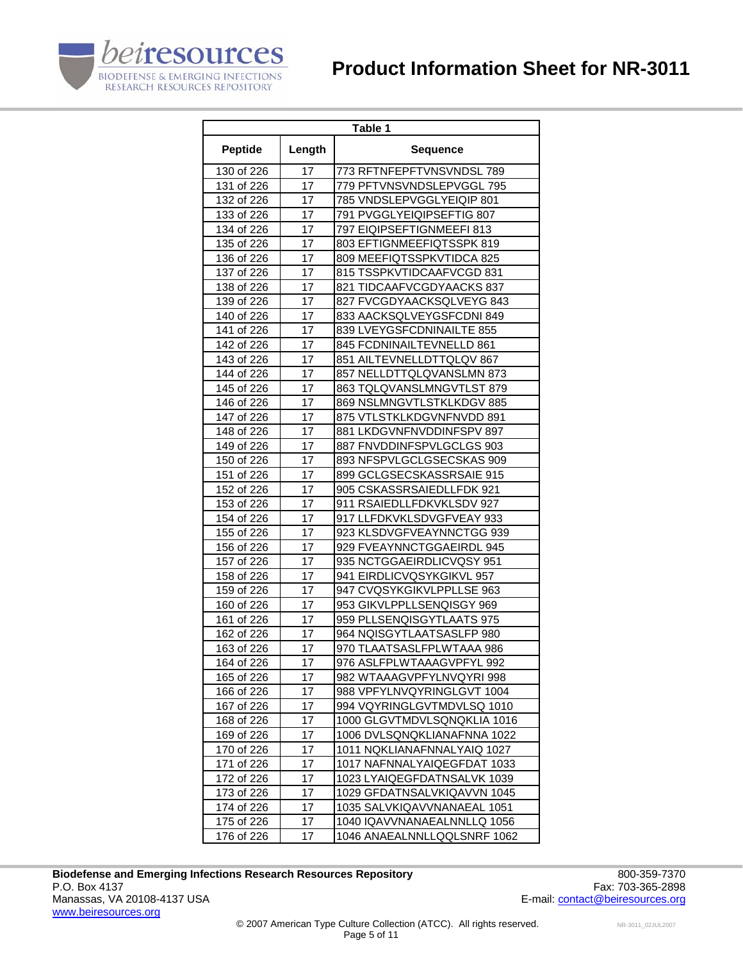

| Table 1        |        |                             |  |
|----------------|--------|-----------------------------|--|
| <b>Peptide</b> | Length | <b>Sequence</b>             |  |
| 130 of 226     | 17     | 773 RFTNFEPFTVNSVNDSL 789   |  |
| 131 of 226     | 17     | 779 PFTVNSVNDSLEPVGGL 795   |  |
| 132 of 226     | 17     | 785 VNDSLEPVGGLYEIQIP 801   |  |
| 133 of 226     | 17     | 791 PVGGLYEIQIPSEFTIG 807   |  |
| 134 of 226     | 17     | 797 EIQIPSEFTIGNMEEFI 813   |  |
| 135 of 226     | 17     | 803 EFTIGNMEEFIQTSSPK 819   |  |
| 136 of 226     | 17     | 809 MEEFIQTSSPKVTIDCA 825   |  |
| 137 of 226     | 17     | 815 TSSPKVTIDCAAFVCGD 831   |  |
| 138 of 226     | 17     | 821 TIDCAAFVCGDYAACKS 837   |  |
| 139 of 226     | 17     | 827 FVCGDYAACKSQLVEYG 843   |  |
| 140 of 226     | 17     | 833 AACKSQLVEYGSFCDNI 849   |  |
| 141 of 226     | 17     | 839 LVEYGSFCDNINAILTE 855   |  |
| 142 of 226     | 17     | 845 FCDNINAILTEVNELLD 861   |  |
| 143 of 226     | 17     | 851 AILTEVNELLDTTQLQV 867   |  |
| 144 of 226     | 17     | 857 NELLDTTQLQVANSLMN 873   |  |
| 145 of 226     | 17     | 863 TQLQVANSLMNGVTLST 879   |  |
| 146 of 226     | 17     | 869 NSLMNGVTLSTKLKDGV 885   |  |
| 147 of 226     | 17     | 875 VTLSTKLKDGVNFNVDD 891   |  |
| 148 of 226     | 17     | 881 LKDGVNFNVDDINFSPV 897   |  |
| 149 of 226     | 17     | 887 FNVDDINFSPVLGCLGS 903   |  |
| 150 of 226     | 17     | 893 NFSPVLGCLGSECSKAS 909   |  |
| 151 of 226     | 17     | 899 GCLGSECSKASSRSAIE 915   |  |
| 152 of 226     | 17     | 905 CSKASSRSAIEDLLFDK 921   |  |
| 153 of 226     | 17     | 911 RSAIEDLLFDKVKLSDV 927   |  |
| 154 of 226     | 17     | 917 LLFDKVKLSDVGFVEAY 933   |  |
| 155 of 226     | 17     | 923 KLSDVGFVEAYNNCTGG 939   |  |
| 156 of 226     | 17     | 929 FVEAYNNCTGGAEIRDL 945   |  |
| 157 of 226     | 17     | 935 NCTGGAEIRDLICVQSY 951   |  |
| 158 of 226     | 17     | 941 EIRDLICVQSYKGIKVL 957   |  |
| 159 of 226     | 17     | 947 CVQSYKGIKVLPPLLSE 963   |  |
| 160 of 226     | 17     | 953 GIKVLPPLLSENQISGY 969   |  |
| 161 of 226     | 17     | 959 PLLSENQISGYTLAATS 975   |  |
| 162 of 226     | 17     | 964 NQISGYTLAATSASLFP 980   |  |
| 163 of 226     | 17     | 970 TLAATSASLFPLWTAAA 986   |  |
| 164 of 226     | 17     | 976 ASLFPLWTAAAGVPFYL 992   |  |
| 165 of 226     | 17     | 982 WTAAAGVPFYLNVQYRI 998   |  |
| 166 of 226     | 17     | 988 VPFYLNVQYRINGLGVT 1004  |  |
| 167 of 226     | 17     | 994 VQYRINGLGVTMDVLSQ 1010  |  |
| 168 of 226     | 17     | 1000 GLGVTMDVLSQNQKLIA 1016 |  |
| 169 of 226     | 17     | 1006 DVLSQNQKLIANAFNNA 1022 |  |
| 170 of 226     | 17     | 1011 NQKLIANAFNNALYAIQ 1027 |  |
| 171 of 226     | 17     | 1017 NAFNNALYAIQEGFDAT 1033 |  |
| 172 of 226     | 17     | 1023 LYAIQEGFDATNSALVK 1039 |  |
| 173 of 226     | 17     | 1029 GFDATNSALVKIQAVVN 1045 |  |
| 174 of 226     | 17     | 1035 SALVKIQAVVNANAEAL 1051 |  |
| 175 of 226     | 17     | 1040 IQAVVNANAEALNNLLQ 1056 |  |
| 176 of 226     | 17     | 1046 ANAEALNNLLQQLSNRF 1062 |  |

Biodefense and Emerging Infections Research Resources Repository<br>P.O. Box 4137 Fax: 703-365-2898 P.O. Box 4137 Fax: 703-365-2898<br>Manassas, VA 20108-4137 USA Taxis and the set of the set of the set of the set of the set of the set of the set of the set of the set of the set of the set of the set of the set of the set o www.beiresources.org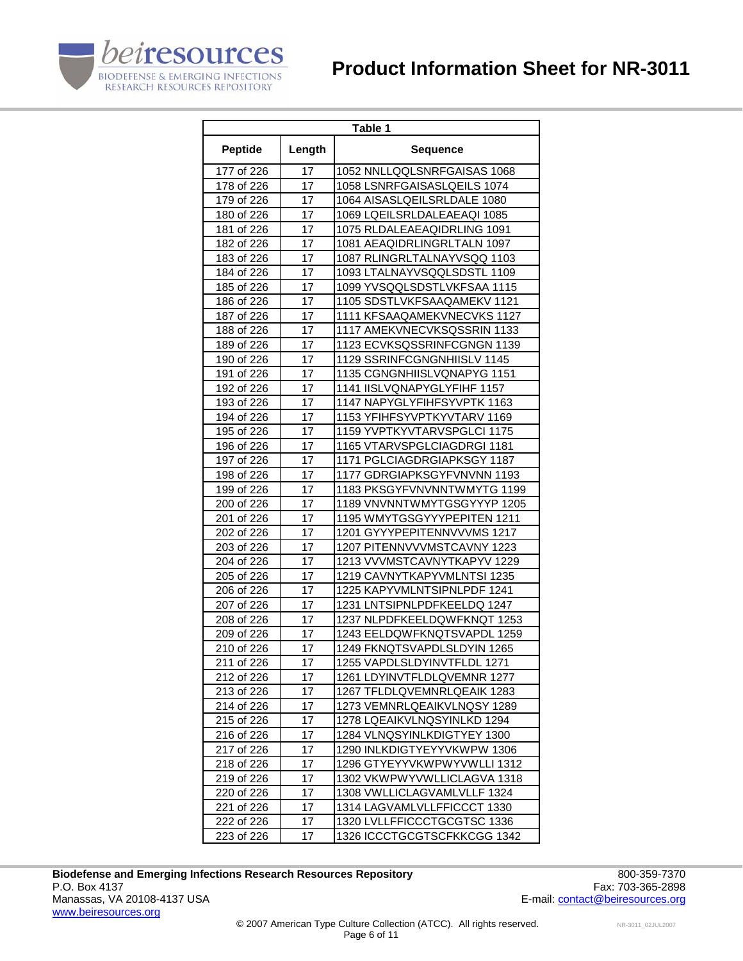

| Table 1        |        |                             |
|----------------|--------|-----------------------------|
| <b>Peptide</b> | Length | <b>Sequence</b>             |
| 177 of 226     | 17     | 1052 NNLLQQLSNRFGAISAS 1068 |
| 178 of 226     | 17     | 1058 LSNRFGAISASLQEILS 1074 |
| 179 of 226     | 17     | 1064 AISASLQEILSRLDALE 1080 |
| 180 of 226     | 17     | 1069 LQEILSRLDALEAEAQI 1085 |
| 181 of 226     | 17     | 1075 RLDALEAEAQIDRLING 1091 |
| 182 of 226     | 17     | 1081 AEAQIDRLINGRLTALN 1097 |
| 183 of 226     | 17     | 1087 RLINGRLTALNAYVSQQ 1103 |
| 184 of 226     | 17     | 1093 LTALNAYVSQQLSDSTL 1109 |
| 185 of 226     | 17     | 1099 YVSQQLSDSTLVKFSAA 1115 |
| 186 of 226     | 17     | 1105 SDSTLVKFSAAQAMEKV 1121 |
| 187 of 226     | 17     | 1111 KFSAAQAMEKVNECVKS 1127 |
| 188 of 226     | 17     | 1117 AMEKVNECVKSQSSRIN 1133 |
| 189 of 226     | 17     | 1123 ECVKSQSSRINFCGNGN 1139 |
| 190 of 226     | 17     | 1129 SSRINFCGNGNHIISLV 1145 |
| 191 of 226     | 17     | 1135 CGNGNHIISLVQNAPYG 1151 |
| 192 of 226     | 17     | 1141 IISLVQNAPYGLYFIHF 1157 |
| 193 of 226     | 17     | 1147 NAPYGLYFIHFSYVPTK 1163 |
| 194 of 226     | 17     | 1153 YFIHFSYVPTKYVTARV 1169 |
| 195 of 226     | 17     | 1159 YVPTKYVTARVSPGLCI 1175 |
| 196 of 226     | 17     | 1165 VTARVSPGLCIAGDRGI 1181 |
| 197 of 226     | 17     | 1171 PGLCIAGDRGIAPKSGY 1187 |
| 198 of 226     | 17     | 1177 GDRGIAPKSGYFVNVNN 1193 |
| 199 of 226     | 17     | 1183 PKSGYFVNVNNTWMYTG 1199 |
| 200 of 226     | 17     | 1189 VNVNNTWMYTGSGYYYP 1205 |
| 201 of 226     | 17     | 1195 WMYTGSGYYYPEPITEN 1211 |
| 202 of 226     | 17     | 1201 GYYYPEPITENNVVVMS 1217 |
| 203 of 226     | 17     | 1207 PITENNVVVMSTCAVNY 1223 |
| 204 of 226     | 17     | 1213 VVVMSTCAVNYTKAPYV 1229 |
| 205 of 226     | 17     | 1219 CAVNYTKAPYVMLNTSI 1235 |
| 206 of 226     | 17     | 1225 KAPYVMLNTSIPNLPDF 1241 |
| 207 of 226     | 17     | 1231 LNTSIPNLPDFKEELDQ 1247 |
| 208 of 226     | 17     | 1237 NLPDFKEELDQWFKNQT 1253 |
| 209 of 226     | 17     | 1243 EELDQWFKNQTSVAPDL 1259 |
| 210 of 226     | 17     | 1249 FKNQTSVAPDLSLDYIN 1265 |
| 211 of 226     | 17     | 1255 VAPDLSLDYINVTFLDL 1271 |
| 212 of 226     | 17     | 1261 LDYINVTFLDLQVEMNR 1277 |
| 213 of 226     | 17     | 1267 TFLDLQVEMNRLQEAIK 1283 |
| 214 of 226     | 17     | 1273 VEMNRLQEAIKVLNQSY 1289 |
| 215 of 226     | 17     | 1278 LQEAIKVLNQSYINLKD 1294 |
| 216 of 226     | 17     | 1284 VLNQSYINLKDIGTYEY 1300 |
| 217 of 226     | 17     | 1290 INLKDIGTYEYYVKWPW 1306 |
| 218 of 226     | 17     | 1296 GTYEYYVKWPWYVWLLI 1312 |
| 219 of 226     | 17     | 1302 VKWPWYVWLLICLAGVA 1318 |
| 220 of 226     | 17     | 1308 VWLLICLAGVAMLVLLF 1324 |
| 221 of 226     | 17     | 1314 LAGVAMLVLLFFICCCT 1330 |
| 222 of 226     | 17     | 1320 LVLLFFICCCTGCGTSC 1336 |
| 223 of 226     | 17     | 1326 ICCCTGCGTSCFKKCGG 1342 |

Biodefense and Emerging Infections Research Resources Repository<br>P.O. Box 4137 Fax: 703-365-2898 P.O. Box 4137 Fax: 703-365-2898<br>Manassas, VA 20108-4137 USA Taxis and the set of the set of the set of the set of the set of the set of the set of the set of the set of the set of the set of the set of the set of the set o www.beiresources.org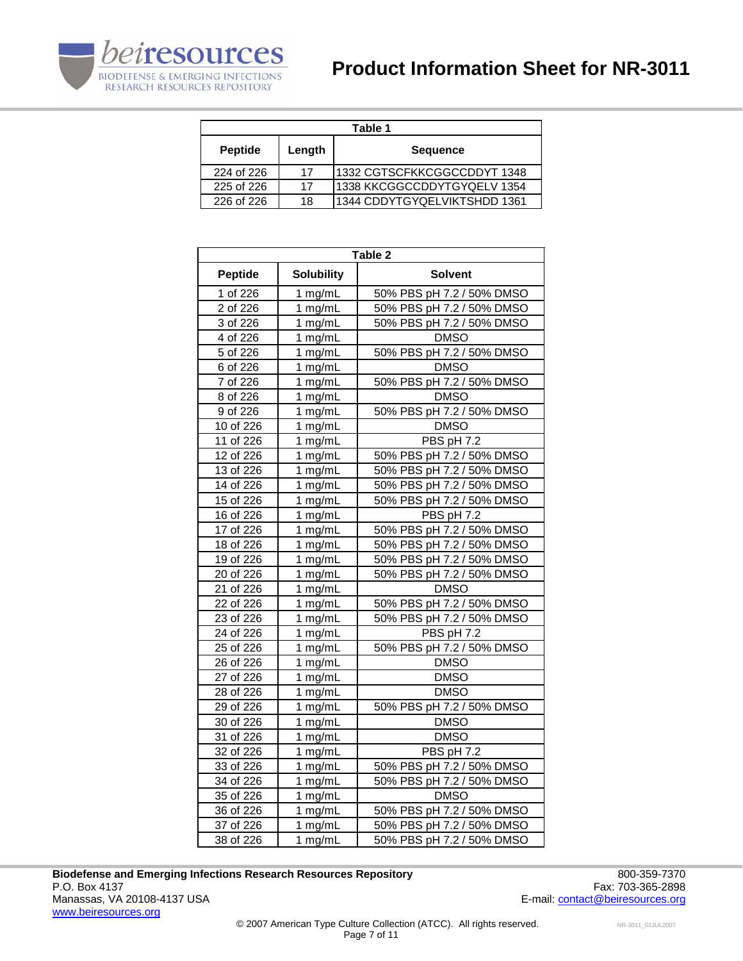

| Table 1                  |    |                              |  |
|--------------------------|----|------------------------------|--|
| Length<br><b>Peptide</b> |    | <b>Sequence</b>              |  |
| 224 of 226               | 17 | 1332 CGTSCFKKCGGCCDDYT 1348  |  |
| 225 of 226               | 17 | 1338 KKCGGCCDDYTGYQELV 1354  |  |
| 226 of 226               | 18 | 1344 CDDYTGYQELVIKTSHDD 1361 |  |

| Table 2        |                   |                           |  |
|----------------|-------------------|---------------------------|--|
| <b>Peptide</b> | <b>Solubility</b> | <b>Solvent</b>            |  |
| 1 of 226       | 1 mg/mL           | 50% PBS pH 7.2 / 50% DMSO |  |
| 2 of 226       | 1 mg/mL           | 50% PBS pH 7.2 / 50% DMSO |  |
| 3 of 226       | 1 mg/mL           | 50% PBS pH 7.2 / 50% DMSO |  |
| 4 of 226       | 1 mg/mL           | <b>DMSO</b>               |  |
| 5 of 226       | 1 mg/mL           | 50% PBS pH 7.2 / 50% DMSO |  |
| 6 of 226       | 1 mg/mL           | <b>DMSO</b>               |  |
| 7 of 226       | 1 mg/mL           | 50% PBS pH 7.2 / 50% DMSO |  |
| 8 of 226       | 1 mg/mL           | <b>DMSO</b>               |  |
| 9 of 226       | 1 mg/mL           | 50% PBS pH 7.2 / 50% DMSO |  |
| 10 of 226      | 1 mg/mL           | <b>DMSO</b>               |  |
| 11 of 226      | 1 mg/mL           | PBS pH 7.2                |  |
| 12 of 226      | 1 mg/mL           | 50% PBS pH 7.2 / 50% DMSO |  |
| 13 of 226      | 1 mg/mL           | 50% PBS pH 7.2 / 50% DMSO |  |
| 14 of 226      | 1 mg/mL           | 50% PBS pH 7.2 / 50% DMSO |  |
| 15 of 226      | 1 mg/mL           | 50% PBS pH 7.2 / 50% DMSO |  |
| 16 of 226      | 1 mg/mL           | PBS pH 7.2                |  |
| 17 of 226      | 1 mg/mL           | 50% PBS pH 7.2 / 50% DMSO |  |
| 18 of 226      | 1 mg/mL           | 50% PBS pH 7.2 / 50% DMSO |  |
| 19 of 226      | 1 mg/mL           | 50% PBS pH 7.2 / 50% DMSO |  |
| 20 of 226      | 1 mg/mL           | 50% PBS pH 7.2 / 50% DMSO |  |
| 21 of 226      | 1 mg/mL           | <b>DMSO</b>               |  |
| 22 of 226      | 1 mg/mL           | 50% PBS pH 7.2 / 50% DMSO |  |
| 23 of 226      | 1 mg/mL           | 50% PBS pH 7.2 / 50% DMSO |  |
| 24 of 226      | 1 mg/mL           | PBS pH 7.2                |  |
| 25 of 226      | 1 mg/mL           | 50% PBS pH 7.2 / 50% DMSO |  |
| 26 of 226      | 1 mg/mL           | <b>DMSO</b>               |  |
| 27 of 226      | 1 mg/mL           | <b>DMSO</b>               |  |
| 28 of 226      | 1 mg/mL           | <b>DMSO</b>               |  |
| 29 of 226      | 1 mg/mL           | 50% PBS pH 7.2 / 50% DMSO |  |
| 30 of 226      | 1 mg/mL           | <b>DMSO</b>               |  |
| 31 of 226      | 1 mg/mL           | <b>DMSO</b>               |  |
| 32 of 226      | 1 mg/mL           | PBS pH 7.2                |  |
| 33 of 226      | 1 mg/mL           | 50% PBS pH 7.2 / 50% DMSO |  |
| 34 of 226      | 1 mg/mL           | 50% PBS pH 7.2 / 50% DMSO |  |
| 35 of 226      | 1 mg/mL           | <b>DMSO</b>               |  |
| 36 of 226      | 1 mg/mL           | 50% PBS pH 7.2 / 50% DMSO |  |
| 37 of 226      | 1 mg/mL           | 50% PBS pH 7.2 / 50% DMSO |  |
| 38 of 226      | 1 mg/mL           | 50% PBS pH 7.2 / 50% DMSO |  |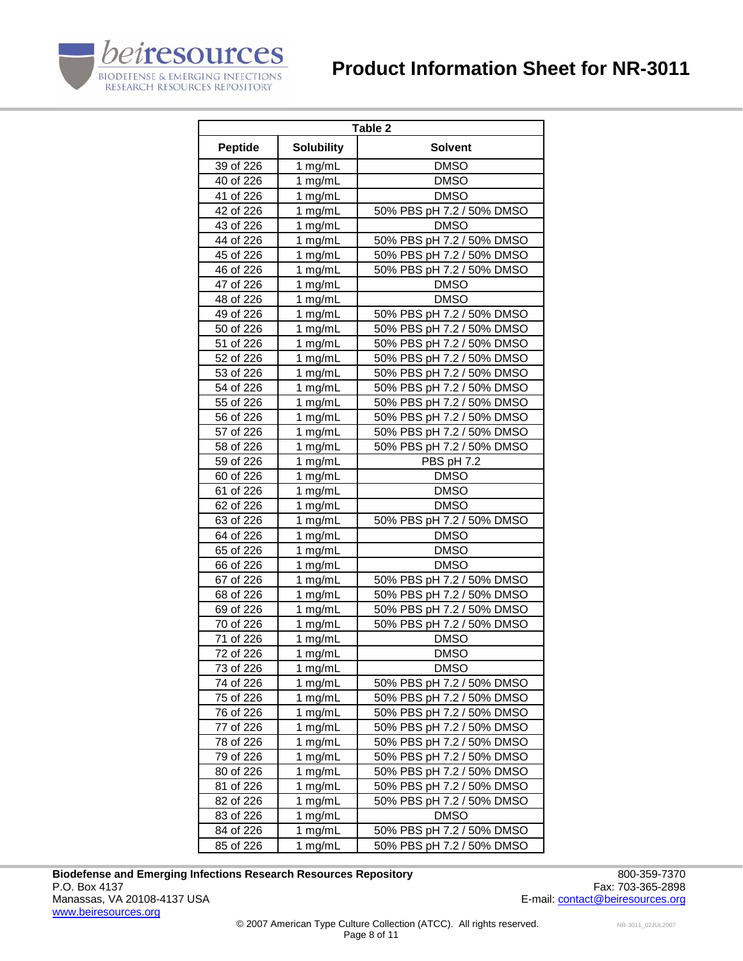

| Table 2        |                    |                           |
|----------------|--------------------|---------------------------|
| <b>Peptide</b> | <b>Solubility</b>  | Solvent                   |
| 39 of 226      | 1 mg/mL            | <b>DMSO</b>               |
| 40 of 226      | 1 mg/mL            | <b>DMSO</b>               |
| 41 of 226      | 1 mg/mL            | <b>DMSO</b>               |
| 42 of 226      | 1 mg/mL            | 50% PBS pH 7.2 / 50% DMSO |
| 43 of 226      | 1 mg/mL            | <b>DMSO</b>               |
| 44 of 226      | 1 mg/mL            | 50% PBS pH 7.2 / 50% DMSO |
| 45 of 226      | 1 mg/mL            | 50% PBS pH 7.2 / 50% DMSO |
| 46 of 226      | 1 mg/mL            | 50% PBS pH 7.2 / 50% DMSO |
| 47 of 226      | 1 mg/mL            | <b>DMSO</b>               |
| 48 of 226      | 1 mg/mL            | <b>DMSO</b>               |
| 49 of 226      | 1 mg/mL            | 50% PBS pH 7.2 / 50% DMSO |
| 50 of 226      | 1 mg/mL            | 50% PBS pH 7.2 / 50% DMSO |
| 51 of 226      | 1 mg/mL            | 50% PBS pH 7.2 / 50% DMSO |
| 52 of 226      | 1 mg/mL            | 50% PBS pH 7.2 / 50% DMSO |
| 53 of 226      | 1 mg/mL            | 50% PBS pH 7.2 / 50% DMSO |
| 54 of 226      | 1 mg/mL            | 50% PBS pH 7.2 / 50% DMSO |
| 55 of 226      | 1 mg/mL            | 50% PBS pH 7.2 / 50% DMSO |
| 56 of 226      | 1 mg/mL            | 50% PBS pH 7.2 / 50% DMSO |
| 57 of 226      | 1 mg/mL            | 50% PBS pH 7.2 / 50% DMSO |
| 58 of 226      | 1 mg/mL            | 50% PBS pH 7.2 / 50% DMSO |
| 59 of 226      | 1 mg/mL            | PBS pH 7.2                |
| 60 of 226      | 1 mg/mL            | <b>DMSO</b>               |
| 61 of 226      | 1 mg/mL            | <b>DMSO</b>               |
| 62 of 226      | 1 mg/mL            | <b>DMSO</b>               |
| 63 of 226      | 1 mg/mL            | 50% PBS pH 7.2 / 50% DMSO |
| 64 of 226      | 1 mg/mL            | <b>DMSO</b>               |
| 65 of 226      | 1 mg/mL            | <b>DMSO</b>               |
| 66 of 226      | 1 mg/mL            | <b>DMSO</b>               |
| 67 of 226      | 1 mg/mL            | 50% PBS pH 7.2 / 50% DMSO |
| 68 of 226      | 1 mg/mL            | 50% PBS pH 7.2 / 50% DMSO |
| 69 of 226      | 1 mg/mL            | 50% PBS pH 7.2 / 50% DMSO |
| 70 of 226      | 1 mg/mL            | 50% PBS pH 7.2 / 50% DMSO |
| 71 of 226      | 1 mg/mL            | <b>DMSO</b>               |
| 72 of 226      | 1 mg/mL            | <b>DMSO</b>               |
| 73 of 226      | 1 mg/mL            | <b>DMSO</b>               |
| 74 of 226      | 1 mg/mL            | 50% PBS pH 7.2 / 50% DMSO |
| 75 of 226      | 1 mg/mL            | 50% PBS pH 7.2 / 50% DMSO |
| 76 of 226      | $1$ mg/mL          | 50% PBS pH 7.2 / 50% DMSO |
| 77 of 226      | 1 mg/mL            | 50% PBS pH 7.2 / 50% DMSO |
| 78 of 226      | 1 mg/mL            | 50% PBS pH 7.2 / 50% DMSO |
| 79 of 226      | 1 mg/mL            | 50% PBS pH 7.2 / 50% DMSO |
| 80 of 226      | 1 mg/mL            | 50% PBS pH 7.2 / 50% DMSO |
| 81 of 226      | 1 mg/mL            | 50% PBS pH 7.2 / 50% DMSO |
| 82 of 226      | 1 mg/mL            | 50% PBS pH 7.2 / 50% DMSO |
| 83 of 226      | 1 mg/mL<br>1 mg/mL | <b>DMSO</b>               |
| 84 of 226      |                    | 50% PBS pH 7.2 / 50% DMSO |
| 85 of 226      | 1 mg/mL            | 50% PBS pH 7.2 / 50% DMSO |

Biodefense and Emerging Infections Research Resources Repository<br>P.O. Box 4137 Fax: 703-365-2898 P.O. Box 4137 Fax: 703-365-2898<br>Manassas, VA 20108-4137 USA Taxis and the set of the set of the set of the set of the set of the set of the set of the set of the set of the set of the set of the set of the set of the set o www.beiresources.org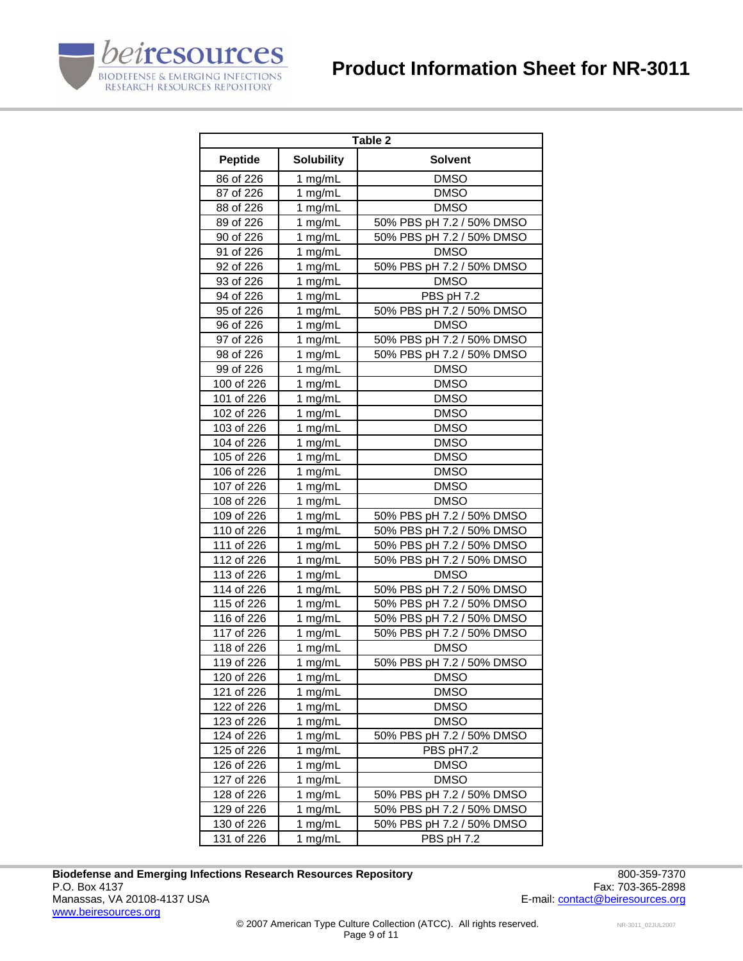

| Table 2        |                   |                           |  |
|----------------|-------------------|---------------------------|--|
| <b>Peptide</b> | <b>Solubility</b> | <b>Solvent</b>            |  |
| 86 of 226      | 1 mg/mL           | <b>DMSO</b>               |  |
| 87 of 226      | 1 mg/mL           | <b>DMSO</b>               |  |
| 88 of 226      | 1 $mg/mL$         | <b>DMSO</b>               |  |
| 89 of 226      | 1 mg/mL           | 50% PBS pH 7.2 / 50% DMSO |  |
| 90 of 226      | 1 mg/mL           | 50% PBS pH 7.2 / 50% DMSO |  |
| 91 of 226      | 1 mg/mL           | <b>DMSO</b>               |  |
| 92 of 226      | 1 $mg/mL$         | 50% PBS pH 7.2 / 50% DMSO |  |
| 93 of 226      | 1 mg/mL           | <b>DMSO</b>               |  |
| 94 of 226      | 1 mg/mL           | PBS pH 7.2                |  |
| 95 of 226      | 1 mg/mL           | 50% PBS pH 7.2 / 50% DMSO |  |
| 96 of 226      | 1 mg/mL           | <b>DMSO</b>               |  |
| 97 of 226      | 1 mg/mL           | 50% PBS pH 7.2 / 50% DMSO |  |
| 98 of 226      | 1 mg/mL           | 50% PBS pH 7.2 / 50% DMSO |  |
| 99 of 226      | 1 mg/mL           | <b>DMSO</b>               |  |
| 100 of 226     | 1 mg/mL           | <b>DMSO</b>               |  |
| 101 of 226     | 1 $mg/mL$         | <b>DMSO</b>               |  |
| 102 of 226     | 1 $mg/mL$         | <b>DMSO</b>               |  |
| 103 of 226     | 1 mg/mL           | <b>DMSO</b>               |  |
| 104 of 226     | 1 $mg/mL$         | <b>DMSO</b>               |  |
| 105 of 226     | 1 $mg/mL$         | <b>DMSO</b>               |  |
| 106 of 226     | 1 $mg/mL$         | <b>DMSO</b>               |  |
| 107 of 226     | 1 mg/mL           | <b>DMSO</b>               |  |
| 108 of 226     | 1 $mg/mL$         | <b>DMSO</b>               |  |
| 109 of 226     | 1 mg/mL           | 50% PBS pH 7.2 / 50% DMSO |  |
| 110 of 226     | 1 mg/mL           | 50% PBS pH 7.2 / 50% DMSO |  |
| 111 of 226     | 1 mg/mL           | 50% PBS pH 7.2 / 50% DMSO |  |
| 112 of 226     | 1 mg/mL           | 50% PBS pH 7.2 / 50% DMSO |  |
| 113 of 226     | 1 mg/mL           | <b>DMSO</b>               |  |
| 114 of 226     | 1 mg/mL           | 50% PBS pH 7.2 / 50% DMSO |  |
| 115 of 226     | 1 mg/mL           | 50% PBS pH 7.2 / 50% DMSO |  |
| 116 of 226     | 1 mg/mL           | 50% PBS pH 7.2 / 50% DMSO |  |
| 117 of 226     | 1 mg/mL           | 50% PBS pH 7.2 / 50% DMSO |  |
| 118 of 226     | 1 mg/mL           | <b>DMSO</b>               |  |
| 119 of 226     | 1 mg/mL           | 50% PBS pH 7.2 / 50% DMSO |  |
| 120 of 226     | 1 mg/mL           | <b>DMSO</b>               |  |
| 121 of 226     | 1 mg/mL           | <b>DMSO</b>               |  |
| 122 of 226     | 1 mg/ $mL$        | <b>DMSO</b>               |  |
| 123 of 226     | 1 mg/mL           | <b>DMSO</b>               |  |
| 124 of 226     | 1 mg/mL           | 50% PBS pH 7.2 / 50% DMSO |  |
| 125 of 226     | 1 mg/mL           | PBS pH7.2                 |  |
| 126 of 226     | 1 mg/mL           | <b>DMSO</b>               |  |
| 127 of 226     | 1 mg/mL           | <b>DMSO</b>               |  |
| 128 of 226     | 1 mg/mL           | 50% PBS pH 7.2 / 50% DMSO |  |
| 129 of 226     | $1$ mg/mL         | 50% PBS pH 7.2 / 50% DMSO |  |
| 130 of 226     | 1 mg/mL           | 50% PBS pH 7.2 / 50% DMSO |  |
| 131 of 226     | 1 mg/mL           | PBS pH 7.2                |  |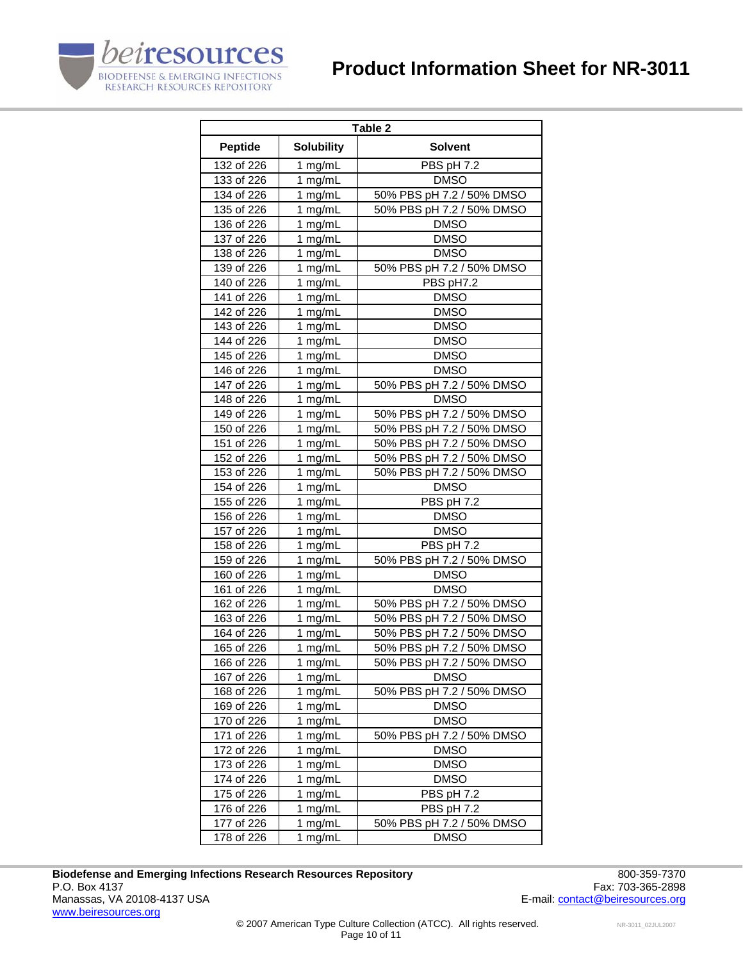



| Table 2        |                   |                           |  |
|----------------|-------------------|---------------------------|--|
| <b>Peptide</b> | <b>Solubility</b> | <b>Solvent</b>            |  |
| 132 of 226     | 1 mg/mL           | PBS pH 7.2                |  |
| 133 of 226     | 1 mg/mL           | <b>DMSO</b>               |  |
| 134 of 226     | 1 mg/mL           | 50% PBS pH 7.2 / 50% DMSO |  |
| 135 of 226     | 1 mg/mL           | 50% PBS pH 7.2 / 50% DMSO |  |
| 136 of 226     | 1 mg/mL           | <b>DMSO</b>               |  |
| 137 of 226     | 1 mg/mL           | <b>DMSO</b>               |  |
| 138 of 226     | 1 mg/mL           | <b>DMSO</b>               |  |
| 139 of 226     | 1 mg/mL           | 50% PBS pH 7.2 / 50% DMSO |  |
| 140 of 226     | 1 mg/mL           | PBS pH7.2                 |  |
| 141 of 226     | 1 mg/mL           | <b>DMSO</b>               |  |
| 142 of 226     | 1 mg/mL           | <b>DMSO</b>               |  |
| 143 of 226     | 1 mg/mL           | <b>DMSO</b>               |  |
| 144 of 226     | 1 mg/mL           | <b>DMSO</b>               |  |
| 145 of 226     | 1 mg/mL           | <b>DMSO</b>               |  |
| 146 of 226     | 1 mg/mL           | <b>DMSO</b>               |  |
| 147 of 226     | 1 mg/mL           | 50% PBS pH 7.2 / 50% DMSO |  |
| 148 of 226     | 1 mg/mL           | <b>DMSO</b>               |  |
| 149 of 226     | 1 mg/mL           | 50% PBS pH 7.2 / 50% DMSO |  |
| 150 of 226     | 1 mg/mL           | 50% PBS pH 7.2 / 50% DMSO |  |
| 151 of 226     | 1 mg/mL           | 50% PBS pH 7.2 / 50% DMSO |  |
| 152 of 226     | 1 mg/mL           | 50% PBS pH 7.2 / 50% DMSO |  |
| 153 of 226     | 1 mg/mL           | 50% PBS pH 7.2 / 50% DMSO |  |
| 154 of 226     | 1 mg/mL           | <b>DMSO</b>               |  |
| 155 of 226     | 1 mg/mL           | PBS pH 7.2                |  |
| 156 of 226     | 1 mg/mL           | <b>DMSO</b>               |  |
| 157 of 226     | 1 mg/mL           | <b>DMSO</b>               |  |
| 158 of 226     | 1 mg/mL           | PBS pH 7.2                |  |
| 159 of 226     | 1 mg/mL           | 50% PBS pH 7.2 / 50% DMSO |  |
| 160 of 226     | 1 mg/mL           | <b>DMSO</b>               |  |
| 161 of 226     | 1 mg/mL           | <b>DMSO</b>               |  |
| 162 of 226     | 1 mg/mL           | 50% PBS pH 7.2 / 50% DMSO |  |
| 163 of 226     | 1 mg/mL           | 50% PBS pH 7.2 / 50% DMSO |  |
| 164 of 226     | 1 mg/mL           | 50% PBS pH 7.2 / 50% DMSO |  |
| 165 of 226     | 1 mg/mL           | 50% PBS pH 7.2 / 50% DMSO |  |
| 166 of 226     | 1 mg/mL           | 50% PBS pH 7.2 / 50% DMSO |  |
| 167 of 226     | 1 mg/mL           | <b>DMSO</b>               |  |
| 168 of 226     | 1 mg/mL           | 50% PBS pH 7.2 / 50% DMSO |  |
| 169 of 226     | 1 mg/mL           | <b>DMSO</b>               |  |
| 170 of 226     | 1 mg/mL           | <b>DMSO</b>               |  |
| 171 of 226     | 1 mg/mL           | 50% PBS pH 7.2 / 50% DMSO |  |
| 172 of 226     | 1 mg/mL           | <b>DMSO</b>               |  |
| 173 of 226     | 1 mg/mL           | <b>DMSO</b>               |  |
| 174 of 226     | 1 mg/mL           | <b>DMSO</b>               |  |
| 175 of 226     | 1 mg/mL           | PBS pH 7.2                |  |
| 176 of 226     | 1 mg/mL           | PBS pH 7.2                |  |
| 177 of 226     | 1 mg/mL           | 50% PBS pH 7.2 / 50% DMSO |  |
| 178 of 226     | 1 mg/mL           | <b>DMSO</b>               |  |